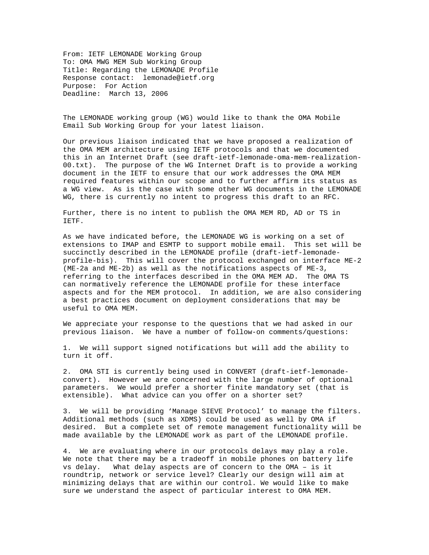From: IETF LEMONADE Working Group To: OMA MWG MEM Sub Working Group Title: Regarding the LEMONADE Profile Response contact: lemonade@ietf.org Purpose: For Action Deadline: March 13, 2006

The LEMONADE working group (WG) would like to thank the OMA Mobile Email Sub Working Group for your latest liaison.

Our previous liaison indicated that we have proposed a realization of the OMA MEM architecture using IETF protocols and that we documented this in an Internet Draft (see draft-ietf-lemonade-oma-mem-realization-00.txt). The purpose of the WG Internet Draft is to provide a working document in the IETF to ensure that our work addresses the OMA MEM required features within our scope and to further affirm its status as a WG view. As is the case with some other WG documents in the LEMONADE WG, there is currently no intent to progress this draft to an RFC.

Further, there is no intent to publish the OMA MEM RD, AD or TS in IETF.

As we have indicated before, the LEMONADE WG is working on a set of extensions to IMAP and ESMTP to support mobile email. This set will be succinctly described in the LEMONADE profile (draft-ietf-lemonadeprofile-bis). This will cover the protocol exchanged on interface ME-2 (ME-2a and ME-2b) as well as the notifications aspects of ME-3, referring to the interfaces described in the OMA MEM AD. The OMA TS can normatively reference the LEMONADE profile for these interface aspects and for the MEM protocol. In addition, we are also considering a best practices document on deployment considerations that may be useful to OMA MEM.

We appreciate your response to the questions that we had asked in our previous liaison. We have a number of follow-on comments/questions:

1. We will support signed notifications but will add the ability to turn it off.

2. OMA STI is currently being used in CONVERT (draft-ietf-lemonadeconvert). However we are concerned with the large number of optional parameters. We would prefer a shorter finite mandatory set (that is extensible). What advice can you offer on a shorter set?

3. We will be providing 'Manage SIEVE Protocol' to manage the filters. Additional methods (such as XDMS) could be used as well by OMA if desired. But a complete set of remote management functionality will be made available by the LEMONADE work as part of the LEMONADE profile.

4. We are evaluating where in our protocols delays may play a role. We note that there may be a tradeoff in mobile phones on battery life vs delay. What delay aspects are of concern to the OMA – is it roundtrip, network or service level? Clearly our design will aim at minimizing delays that are within our control. We would like to make sure we understand the aspect of particular interest to OMA MEM.